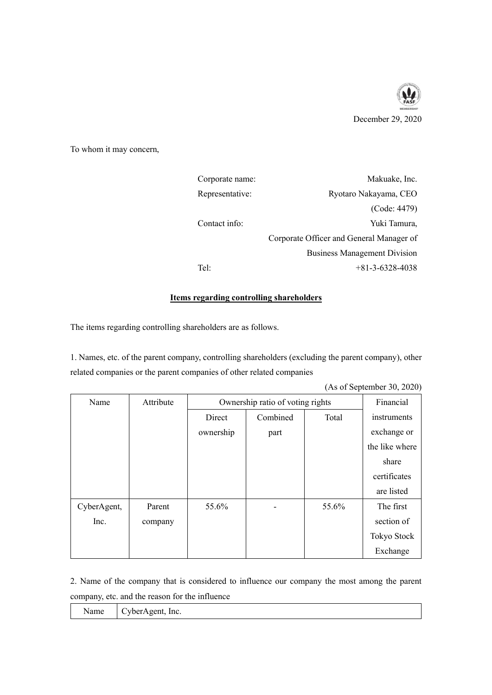

To whom it may concern,

| Corporate name: | Makuake, Inc.                            |
|-----------------|------------------------------------------|
| Representative: | Ryotaro Nakayama, CEO                    |
|                 | (Code: 4479)                             |
| Contact info:   | Yuki Tamura,                             |
|                 | Corporate Officer and General Manager of |
|                 | <b>Business Management Division</b>      |
| Tel:            | $+81 - 3 - 6328 - 4038$                  |

## **Items regarding controlling shareholders**

The items regarding controlling shareholders are as follows.

1. Names, etc. of the parent company, controlling shareholders (excluding the parent company), other related companies or the parent companies of other related companies

|             |           |                                  |          |       | (As of September 30, 2020) |
|-------------|-----------|----------------------------------|----------|-------|----------------------------|
| Name        | Attribute | Ownership ratio of voting rights |          |       | Financial                  |
|             |           | Direct                           | Combined | Total | instruments                |
|             |           | ownership                        | part     |       | exchange or                |
|             |           |                                  |          |       | the like where             |
|             |           |                                  |          |       | share                      |
|             |           |                                  |          |       | certificates               |
|             |           |                                  |          |       | are listed                 |
| CyberAgent, | Parent    | 55.6%                            |          | 55.6% | The first                  |
| Inc.        | company   |                                  |          |       | section of                 |
|             |           |                                  |          |       | Tokyo Stock                |
|             |           |                                  |          |       | Exchange                   |

2. Name of the company that is considered to influence our company the most among the parent company, etc. and the reason for the influence

| یست<br>-----<br>.<br>$\mathbf{r}$ , which is the state of $\mathbf{r}$<br>lnc.<br><i>i</i> vame<br>. IF<br>3 H H |
|------------------------------------------------------------------------------------------------------------------|
|------------------------------------------------------------------------------------------------------------------|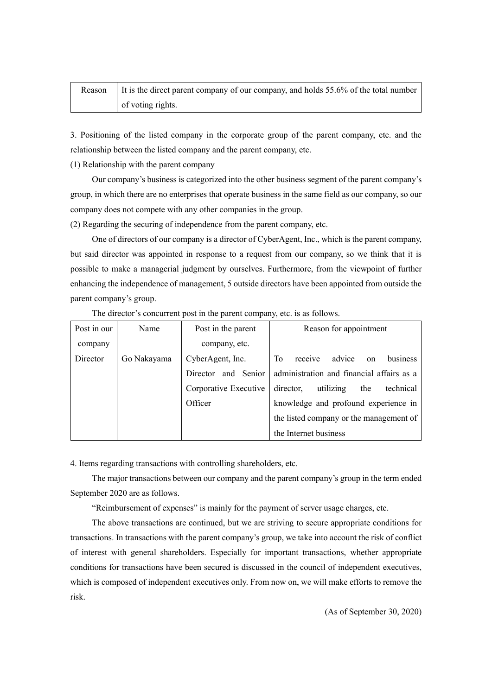| Reason   It is the direct parent company of our company, and holds 55.6% of the total number |
|----------------------------------------------------------------------------------------------|
| of voting rights.                                                                            |

3. Positioning of the listed company in the corporate group of the parent company, etc. and the relationship between the listed company and the parent company, etc.

(1) Relationship with the parent company

Our company's business is categorized into the other business segment of the parent company's group, in which there are no enterprises that operate business in the same field as our company, so our company does not compete with any other companies in the group.

(2) Regarding the securing of independence from the parent company, etc.

One of directors of our company is a director of CyberAgent, Inc., which is the parent company, but said director was appointed in response to a request from our company, so we think that it is possible to make a managerial judgment by ourselves. Furthermore, from the viewpoint of further enhancing the independence of management, 5 outside directors have been appointed from outside the parent company's group.

| Post in our | Name        | Post in the parent    | Reason for appointment                     |  |
|-------------|-------------|-----------------------|--------------------------------------------|--|
| company     |             | company, etc.         |                                            |  |
| Director    | Go Nakayama | CyberAgent, Inc.      | receive<br>advice<br>business<br>To<br>on  |  |
|             |             | Director and Senior   | administration and financial affairs as a  |  |
|             |             | Corporative Executive | utilizing<br>director,<br>technical<br>the |  |
|             |             | Officer               | knowledge and profound experience in       |  |
|             |             |                       | the listed company or the management of    |  |
|             |             |                       | the Internet business                      |  |

The director's concurrent post in the parent company, etc. is as follows.

4. Items regarding transactions with controlling shareholders, etc.

The major transactions between our company and the parent company's group in the term ended September 2020 are as follows.

"Reimbursement of expenses" is mainly for the payment of server usage charges, etc.

The above transactions are continued, but we are striving to secure appropriate conditions for transactions. In transactions with the parent company's group, we take into account the risk of conflict of interest with general shareholders. Especially for important transactions, whether appropriate conditions for transactions have been secured is discussed in the council of independent executives, which is composed of independent executives only. From now on, we will make efforts to remove the risk.